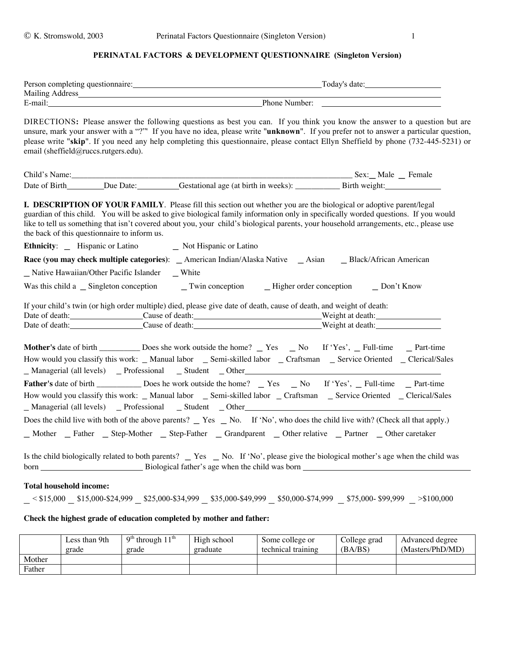## PERINATAL FACTORS & DEVELOPMENT QUESTIONNAIRE (Singleton Version)

| Person completing questionnaire: | Today's date: |
|----------------------------------|---------------|
| Mailing Address                  |               |
| E-mail                           | Phone Number: |

DIRECTIONS: Please answer the following questions as best you can. If you think you know the answer to a question but are unsure, mark your answer with a "?" If you have no idea, please write "unknown". If you prefer not to answer a particular question, please write "skip". If you need any help completing this questionnaire, please contact Ellyn Sheffield by phone (732-445-5231) or email (sheffield@ruccs.rutgers.edu).

| Child's Name: |           |                                      | Sex: Male Female |
|---------------|-----------|--------------------------------------|------------------|
| Date of Birth | Due Date: | Gestational age (at birth in weeks): | Birth weight:    |
|               |           |                                      |                  |

**I. DESCRIPTION OF YOUR FAMILY**. Please fill this section out whether you are the biological or adoptive parent/legal guardian of this child. You will be asked to give biological family information only in specifically worded questions. If you would like to tell us something that isn't covered about you, your child's biological parents, your household arrangements, etc., please use the back of this questionnaire to inform us. **Ethnicity:** \_ Hispanic or Latino \_ Not Hispanic or Latino **Race (you may check multiple categories)**: \_ American Indian/Alaska Native \_ Asian \_ Black/African American \_ Native Hawaiian/Other Pacific Islander \_ White Was this child a \_ Singleton conception \_ Twin conception \_ Higher order conception \_ Don't Know If your child's twin (or high order multiple) died, please give date of death, cause of death, and weight of death: Date of death: Cause of death: Cause of death: Weight at death: Date of death: Cause of death: Weight at death: Weight at death: Mother's date of birth \_\_\_\_\_\_\_\_\_\_ Does she work outside the home? \_ Yes \_ No If 'Yes', \_ Full-time \_ Part-time How would you classify this work: \_ Manual labor \_ Semi-skilled labor \_ Craftsman \_ Service Oriented \_ Clerical/Sales \_ Managerial (all levels) \_ Professional \_ Student \_ Other Father's date of birth \_\_\_\_\_\_\_\_\_\_\_ Does he work outside the home? \_ Yes \_ No If 'Yes', \_ Full-time \_ Part-time How would you classify this work: \_ Manual labor \_ Semi-skilled labor \_ Craftsman \_ Service Oriented \_ Clerical/Sales \_ Managerial (all levels) \_ Professional \_ Student \_ Other Does the child live with both of the above parents?  $\Gamma$  Yes  $\Gamma$  No. If 'No', who does the child live with? (Check all that apply.) \_ Mother \_ Father \_ Step-Mother \_ Step-Father \_ Grandparent \_ Other relative \_ Partner \_ Other caretaker

Is the child biologically related to both parents? \_ Yes \_ No. If 'No', please give the biological mother's age when the child was born Biological father's age when the child was born

#### **Total household income:**

 $-$  < \$15,000 \_ \$15,000-\$24,999 \_ \$25,000-\$34,999 \_ \$35,000-\$49,999 \_ \$50,000-\$74,999 \_ \$75,000- \$99,999 > \$100,000

## **Check the highest grade of education completed by mother and father:**

|        | Less than 9th<br>grade | $9th$ through $11th$<br>grade | High school<br>graduate | Some college or<br>technical training | College grad<br>(BA/BS) | Advanced degree<br>(Masters/PhD/MD) |
|--------|------------------------|-------------------------------|-------------------------|---------------------------------------|-------------------------|-------------------------------------|
| Mother |                        |                               |                         |                                       |                         |                                     |
| Father |                        |                               |                         |                                       |                         |                                     |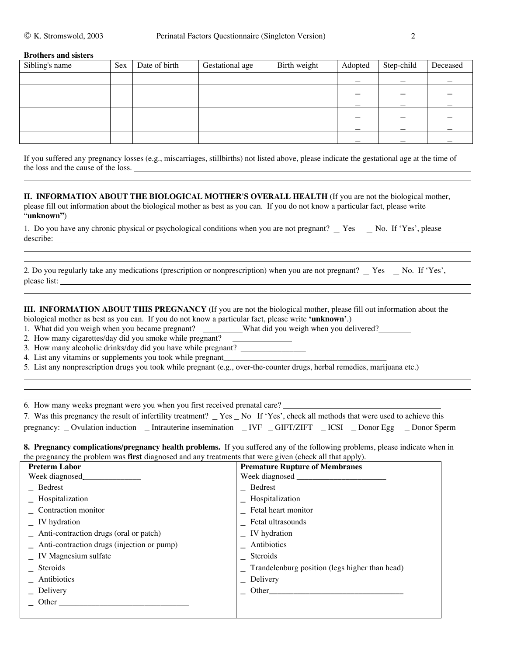#### **Brothers and sisters**

| Sibling's name | Sex | Date of birth | Gestational age | Birth weight | Adopted | Step-child | Deceased |
|----------------|-----|---------------|-----------------|--------------|---------|------------|----------|
|                |     |               |                 |              |         |            |          |
|                |     |               |                 |              |         |            |          |
|                |     |               |                 |              |         |            |          |
|                |     |               |                 |              |         |            |          |
|                |     |               |                 |              |         |            |          |
|                |     |               |                 |              |         |            |          |

If you suffered any pregnancy losses (e.g., miscarriages, stillbirths) not listed above, please indicate the gestational age at the time of the loss and the cause of the loss.

**II. INFORMATION ABOUT THE BIOLOGICAL MOTHER'S OVERALL HEALTH** (If you are not the biological mother, please fill out information about the biological mother as best as you can. If you do not know a particular fact, please write "**unknown"**)

| 1. Do you have any chronic physical or psychological conditions when you are not pregnant? _ Yes _ No. If 'Yes', please |  |
|-------------------------------------------------------------------------------------------------------------------------|--|
| describe:                                                                                                               |  |

|              | 2. Do you regularly take any medications (prescription or nonprescription) when you are not pregnant? _ Yes _ No. If 'Yes', |
|--------------|-----------------------------------------------------------------------------------------------------------------------------|
| please list: |                                                                                                                             |
|              |                                                                                                                             |

**III. INFORMATION ABOUT THIS PREGNANCY** (If you are not the biological mother, please fill out information about the biological mother as best as you can. If you do not know a particular fact, please write **'unknown'**.)

1. What did you weigh when you became pregnant? What did you weigh when you delivered?

2. How many cigarettes/day did you smoke while pregnant?

3. How many alcoholic drinks/day did you have while pregnant? \_\_\_\_\_\_\_\_\_\_\_\_\_\_\_\_\_\_

4. List any vitamins or supplements you took while pregnant\_\_\_\_\_\_\_\_\_\_\_\_\_\_\_\_\_\_\_\_\_

5. List any nonprescription drugs you took while pregnant (e.g., over-the-counter drugs, herbal remedies, marijuana etc.)

6. How many weeks pregnant were you when you first received prenatal care?

|  | 7. Was this pregnancy the result of infertility treatment? _ Yes _ No If 'Yes', check all methods that were used to achieve this |  |  |  |
|--|----------------------------------------------------------------------------------------------------------------------------------|--|--|--|
|  | pregnancy: _Ovulation induction _Intrauterine insemination _IVF _GIFT/ZIFT _ICSI _Donor Egg _Donor Sperm                         |  |  |  |

,我们也不会有什么。""我们的人,我们也不会有什么?""我们的人,我们也不会有什么?""我们的人,我们的人,我们的人,我们的人,我们的人,我们的人,我们的人,我

**8. Pregnancy complications/pregnancy health problems.** If you suffered any of the following problems, please indicate when in the pregnancy the problem was **first** diagnosed and any treatments that were given (check all that apply).

| <b>Preterm Labor</b>                           | <b>Premature Rupture of Membranes</b>          |
|------------------------------------------------|------------------------------------------------|
| Week diagnosed                                 |                                                |
| Bedrest                                        | $\equiv$ Bedrest                               |
| _ Hospitalization                              | _ Hospitalization                              |
| Contraction monitor                            | $\overline{\phantom{a}}$ Fetal heart monitor   |
| $\angle$ IV hydration                          | Fetal ultrasounds                              |
| _ Anti-contraction drugs (oral or patch)       | $\angle$ IV hydration                          |
| $-$ Anti-contraction drugs (injection or pump) | Antibiotics                                    |
| $\quad$ IV Magnesium sulfate                   | Steroids                                       |
| Steroids                                       | Trandelenburg position (legs higher than head) |
| Antibiotics                                    | $\angle$ Delivery                              |
| Delivery                                       | Other                                          |
| Other                                          |                                                |
|                                                |                                                |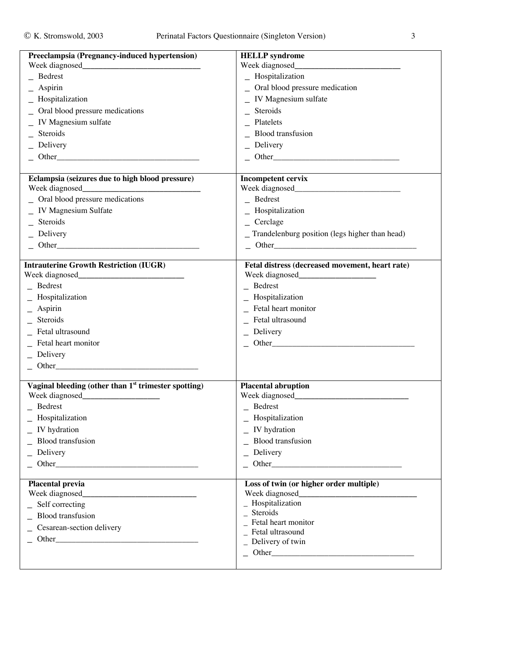| Preeclampsia (Pregnancy-induced hypertension)                    | <b>HELLP</b> syndrome                                                             |
|------------------------------------------------------------------|-----------------------------------------------------------------------------------|
|                                                                  | Week diagnosed<br><u> 1980 - Johann Barn, mars an t-Amerikaansk kommunister (</u> |
| $-$ Bedrest                                                      | _ Hospitalization                                                                 |
| Aspirin                                                          | _ Oral blood pressure medication                                                  |
| Hospitalization                                                  | IV Magnesium sulfate                                                              |
| Oral blood pressure medications                                  | Steroids                                                                          |
| IV Magnesium sulfate                                             | Platelets                                                                         |
| Steroids                                                         | <b>Blood</b> transfusion                                                          |
| Delivery                                                         | Delivery                                                                          |
| $\sim$ Other                                                     | $\sim$ Other                                                                      |
|                                                                  |                                                                                   |
| Eclampsia (seizures due to high blood pressure)                  | <b>Incompetent cervix</b>                                                         |
| Oral blood pressure medications                                  | Bedrest                                                                           |
| _ IV Magnesium Sulfate                                           | _ Hospitalization                                                                 |
| Steroids                                                         | $\angle$ Cerclage                                                                 |
| Delivery                                                         | Trandelenburg position (legs higher than head)                                    |
| $\begin{array}{c}\n\text{Other}\n\end{array}$                    | $-$ Other                                                                         |
|                                                                  |                                                                                   |
| <b>Intrauterine Growth Restriction (IUGR)</b>                    | Fetal distress (decreased movement, heart rate)                                   |
| Bedrest                                                          | $Be$ drest                                                                        |
| Hospitalization                                                  |                                                                                   |
|                                                                  | Hospitalization<br>Fetal heart monitor                                            |
| Aspirin<br>Steroids                                              |                                                                                   |
|                                                                  | Fetal ultrasound                                                                  |
| Fetal ultrasound                                                 | Delivery                                                                          |
| Fetal heart monitor                                              | $\sim$ Other                                                                      |
| $\angle$ Delivery                                                |                                                                                   |
|                                                                  |                                                                                   |
| Vaginal bleeding (other than 1 <sup>st</sup> trimester spotting) | <b>Placental abruption</b>                                                        |
|                                                                  |                                                                                   |
| $\equiv$ Bedrest                                                 | $\overline{\phantom{a}}$ Bedrest                                                  |
| Hospitalization                                                  | Hospitalization                                                                   |
| $\sqrt{ }$ IV hydration                                          | IV hydration                                                                      |
| <b>Blood</b> transfusion                                         | <b>Blood</b> transfusion                                                          |
| Delivery                                                         | Delivery                                                                          |
| $\sim$ Other                                                     |                                                                                   |
| <b>Placental previa</b>                                          | Loss of twin (or higher order multiple)                                           |
|                                                                  |                                                                                   |
| _ Self correcting                                                | $\_$ Hospitalization                                                              |
| <b>Blood</b> transfusion                                         | Steroids                                                                          |
| Cesarean-section delivery                                        | Fetal heart monitor                                                               |
| $\sim$ Other                                                     | Fetal ultrasound                                                                  |
|                                                                  | Delivery of twin                                                                  |
|                                                                  |                                                                                   |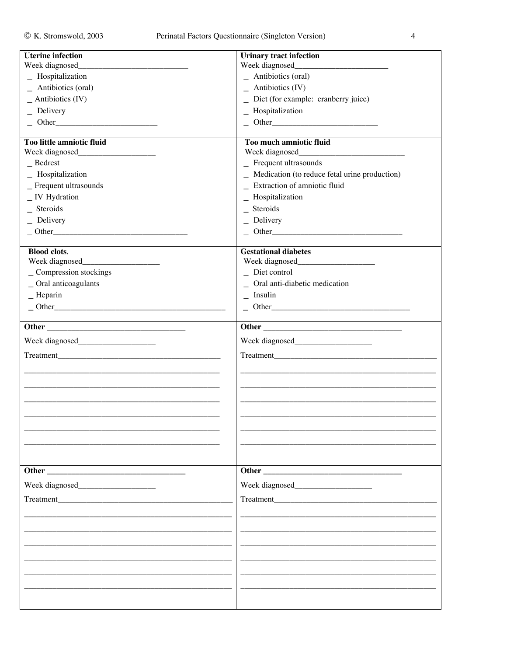| Week diagnosed_<br>Week diagnosed<br>$-$ Antibiotics (oral)<br>_ Hospitalization<br>_ Antibiotics (oral)<br>$-$ Antibiotics (IV)<br>$_$ Antibiotics (IV)<br>_ Diet (for example: cranberry juice)<br>_ Hospitalization<br>$\angle$ Delivery<br>$-$ Other<br>$\sim$ Other<br>Too little amniotic fluid<br>Too much amniotic fluid<br>$-$ Frequent ultrasounds<br>Bedrest<br>_ Medication (to reduce fetal urine production)<br>_ Hospitalization<br>_ Extraction of amniotic fluid<br>_ Frequent ultrasounds<br>_ IV Hydration<br>_ Hospitalization<br>Steroids<br>$_$ Steroids<br>$\angle$ Delivery<br>$\angle$ Delivery<br>$-$ Other<br>$-$ Other<br><b>Blood clots.</b><br><b>Gestational diabetes</b><br>_ Compression stockings<br>$\overline{\phantom{a}}$ Diet control<br>_ Oral anticoagulants<br>_ Oral anti-diabetic medication<br>$-$ Heparin<br>$\overline{\phantom{a}}$ Insulin<br>$-$ Other<br>$-$ Other<br>Treatment<br>Other and the contract of the contract of the contract of the contract of the contract of the contract of the contract of the contract of the contract of the contract of the contract of the contract of the contract of the<br>Other | <b>Uterine infection</b> | <b>Urinary tract infection</b> |
|------------------------------------------------------------------------------------------------------------------------------------------------------------------------------------------------------------------------------------------------------------------------------------------------------------------------------------------------------------------------------------------------------------------------------------------------------------------------------------------------------------------------------------------------------------------------------------------------------------------------------------------------------------------------------------------------------------------------------------------------------------------------------------------------------------------------------------------------------------------------------------------------------------------------------------------------------------------------------------------------------------------------------------------------------------------------------------------------------------------------------------------------------------------------------|--------------------------|--------------------------------|
|                                                                                                                                                                                                                                                                                                                                                                                                                                                                                                                                                                                                                                                                                                                                                                                                                                                                                                                                                                                                                                                                                                                                                                              |                          |                                |
|                                                                                                                                                                                                                                                                                                                                                                                                                                                                                                                                                                                                                                                                                                                                                                                                                                                                                                                                                                                                                                                                                                                                                                              |                          |                                |
|                                                                                                                                                                                                                                                                                                                                                                                                                                                                                                                                                                                                                                                                                                                                                                                                                                                                                                                                                                                                                                                                                                                                                                              |                          |                                |
|                                                                                                                                                                                                                                                                                                                                                                                                                                                                                                                                                                                                                                                                                                                                                                                                                                                                                                                                                                                                                                                                                                                                                                              |                          |                                |
|                                                                                                                                                                                                                                                                                                                                                                                                                                                                                                                                                                                                                                                                                                                                                                                                                                                                                                                                                                                                                                                                                                                                                                              |                          |                                |
|                                                                                                                                                                                                                                                                                                                                                                                                                                                                                                                                                                                                                                                                                                                                                                                                                                                                                                                                                                                                                                                                                                                                                                              |                          |                                |
|                                                                                                                                                                                                                                                                                                                                                                                                                                                                                                                                                                                                                                                                                                                                                                                                                                                                                                                                                                                                                                                                                                                                                                              |                          |                                |
|                                                                                                                                                                                                                                                                                                                                                                                                                                                                                                                                                                                                                                                                                                                                                                                                                                                                                                                                                                                                                                                                                                                                                                              |                          |                                |
|                                                                                                                                                                                                                                                                                                                                                                                                                                                                                                                                                                                                                                                                                                                                                                                                                                                                                                                                                                                                                                                                                                                                                                              |                          |                                |
|                                                                                                                                                                                                                                                                                                                                                                                                                                                                                                                                                                                                                                                                                                                                                                                                                                                                                                                                                                                                                                                                                                                                                                              |                          |                                |
|                                                                                                                                                                                                                                                                                                                                                                                                                                                                                                                                                                                                                                                                                                                                                                                                                                                                                                                                                                                                                                                                                                                                                                              |                          |                                |
|                                                                                                                                                                                                                                                                                                                                                                                                                                                                                                                                                                                                                                                                                                                                                                                                                                                                                                                                                                                                                                                                                                                                                                              |                          |                                |
|                                                                                                                                                                                                                                                                                                                                                                                                                                                                                                                                                                                                                                                                                                                                                                                                                                                                                                                                                                                                                                                                                                                                                                              |                          |                                |
|                                                                                                                                                                                                                                                                                                                                                                                                                                                                                                                                                                                                                                                                                                                                                                                                                                                                                                                                                                                                                                                                                                                                                                              |                          |                                |
|                                                                                                                                                                                                                                                                                                                                                                                                                                                                                                                                                                                                                                                                                                                                                                                                                                                                                                                                                                                                                                                                                                                                                                              |                          |                                |
|                                                                                                                                                                                                                                                                                                                                                                                                                                                                                                                                                                                                                                                                                                                                                                                                                                                                                                                                                                                                                                                                                                                                                                              |                          |                                |
|                                                                                                                                                                                                                                                                                                                                                                                                                                                                                                                                                                                                                                                                                                                                                                                                                                                                                                                                                                                                                                                                                                                                                                              |                          |                                |
|                                                                                                                                                                                                                                                                                                                                                                                                                                                                                                                                                                                                                                                                                                                                                                                                                                                                                                                                                                                                                                                                                                                                                                              |                          |                                |
|                                                                                                                                                                                                                                                                                                                                                                                                                                                                                                                                                                                                                                                                                                                                                                                                                                                                                                                                                                                                                                                                                                                                                                              |                          |                                |
|                                                                                                                                                                                                                                                                                                                                                                                                                                                                                                                                                                                                                                                                                                                                                                                                                                                                                                                                                                                                                                                                                                                                                                              |                          |                                |
|                                                                                                                                                                                                                                                                                                                                                                                                                                                                                                                                                                                                                                                                                                                                                                                                                                                                                                                                                                                                                                                                                                                                                                              |                          |                                |
|                                                                                                                                                                                                                                                                                                                                                                                                                                                                                                                                                                                                                                                                                                                                                                                                                                                                                                                                                                                                                                                                                                                                                                              |                          |                                |
|                                                                                                                                                                                                                                                                                                                                                                                                                                                                                                                                                                                                                                                                                                                                                                                                                                                                                                                                                                                                                                                                                                                                                                              |                          |                                |
|                                                                                                                                                                                                                                                                                                                                                                                                                                                                                                                                                                                                                                                                                                                                                                                                                                                                                                                                                                                                                                                                                                                                                                              |                          |                                |
|                                                                                                                                                                                                                                                                                                                                                                                                                                                                                                                                                                                                                                                                                                                                                                                                                                                                                                                                                                                                                                                                                                                                                                              |                          |                                |
|                                                                                                                                                                                                                                                                                                                                                                                                                                                                                                                                                                                                                                                                                                                                                                                                                                                                                                                                                                                                                                                                                                                                                                              |                          |                                |
|                                                                                                                                                                                                                                                                                                                                                                                                                                                                                                                                                                                                                                                                                                                                                                                                                                                                                                                                                                                                                                                                                                                                                                              |                          |                                |
|                                                                                                                                                                                                                                                                                                                                                                                                                                                                                                                                                                                                                                                                                                                                                                                                                                                                                                                                                                                                                                                                                                                                                                              |                          |                                |
|                                                                                                                                                                                                                                                                                                                                                                                                                                                                                                                                                                                                                                                                                                                                                                                                                                                                                                                                                                                                                                                                                                                                                                              |                          |                                |
|                                                                                                                                                                                                                                                                                                                                                                                                                                                                                                                                                                                                                                                                                                                                                                                                                                                                                                                                                                                                                                                                                                                                                                              |                          |                                |
|                                                                                                                                                                                                                                                                                                                                                                                                                                                                                                                                                                                                                                                                                                                                                                                                                                                                                                                                                                                                                                                                                                                                                                              |                          |                                |
|                                                                                                                                                                                                                                                                                                                                                                                                                                                                                                                                                                                                                                                                                                                                                                                                                                                                                                                                                                                                                                                                                                                                                                              |                          |                                |
|                                                                                                                                                                                                                                                                                                                                                                                                                                                                                                                                                                                                                                                                                                                                                                                                                                                                                                                                                                                                                                                                                                                                                                              |                          |                                |
|                                                                                                                                                                                                                                                                                                                                                                                                                                                                                                                                                                                                                                                                                                                                                                                                                                                                                                                                                                                                                                                                                                                                                                              |                          |                                |
|                                                                                                                                                                                                                                                                                                                                                                                                                                                                                                                                                                                                                                                                                                                                                                                                                                                                                                                                                                                                                                                                                                                                                                              |                          |                                |
|                                                                                                                                                                                                                                                                                                                                                                                                                                                                                                                                                                                                                                                                                                                                                                                                                                                                                                                                                                                                                                                                                                                                                                              |                          |                                |
|                                                                                                                                                                                                                                                                                                                                                                                                                                                                                                                                                                                                                                                                                                                                                                                                                                                                                                                                                                                                                                                                                                                                                                              |                          |                                |
|                                                                                                                                                                                                                                                                                                                                                                                                                                                                                                                                                                                                                                                                                                                                                                                                                                                                                                                                                                                                                                                                                                                                                                              |                          |                                |
|                                                                                                                                                                                                                                                                                                                                                                                                                                                                                                                                                                                                                                                                                                                                                                                                                                                                                                                                                                                                                                                                                                                                                                              |                          |                                |
|                                                                                                                                                                                                                                                                                                                                                                                                                                                                                                                                                                                                                                                                                                                                                                                                                                                                                                                                                                                                                                                                                                                                                                              |                          |                                |
|                                                                                                                                                                                                                                                                                                                                                                                                                                                                                                                                                                                                                                                                                                                                                                                                                                                                                                                                                                                                                                                                                                                                                                              |                          |                                |
|                                                                                                                                                                                                                                                                                                                                                                                                                                                                                                                                                                                                                                                                                                                                                                                                                                                                                                                                                                                                                                                                                                                                                                              |                          |                                |
|                                                                                                                                                                                                                                                                                                                                                                                                                                                                                                                                                                                                                                                                                                                                                                                                                                                                                                                                                                                                                                                                                                                                                                              |                          |                                |
|                                                                                                                                                                                                                                                                                                                                                                                                                                                                                                                                                                                                                                                                                                                                                                                                                                                                                                                                                                                                                                                                                                                                                                              |                          |                                |
|                                                                                                                                                                                                                                                                                                                                                                                                                                                                                                                                                                                                                                                                                                                                                                                                                                                                                                                                                                                                                                                                                                                                                                              |                          |                                |
|                                                                                                                                                                                                                                                                                                                                                                                                                                                                                                                                                                                                                                                                                                                                                                                                                                                                                                                                                                                                                                                                                                                                                                              |                          |                                |
|                                                                                                                                                                                                                                                                                                                                                                                                                                                                                                                                                                                                                                                                                                                                                                                                                                                                                                                                                                                                                                                                                                                                                                              |                          |                                |
|                                                                                                                                                                                                                                                                                                                                                                                                                                                                                                                                                                                                                                                                                                                                                                                                                                                                                                                                                                                                                                                                                                                                                                              |                          |                                |
|                                                                                                                                                                                                                                                                                                                                                                                                                                                                                                                                                                                                                                                                                                                                                                                                                                                                                                                                                                                                                                                                                                                                                                              |                          |                                |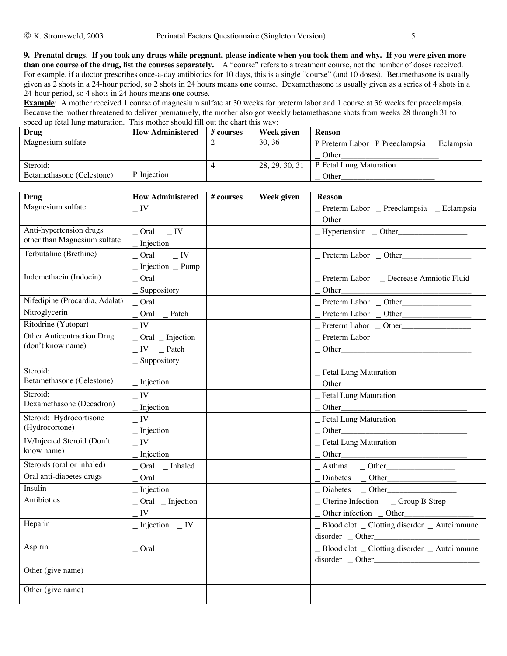**9. Prenatal drugs**. **If you took any drugs while pregnant, please indicate when you took them and why. If you were given more than one course of the drug, list the courses separately.** A "course" refers to a treatment course, not the number of doses received. For example, if a doctor prescribes once-a-day antibiotics for 10 days, this is a single "course" (and 10 doses). Betamethasone is usually given as 2 shots in a 24-hour period, so 2 shots in 24 hours means **one** course. Dexamethasone is usually given as a series of 4 shots in a 24-hour period, so 4 shots in 24 hours means **one** course.

**Example**: A mother received 1 course of magnesium sulfate at 30 weeks for preterm labor and 1 course at 36 weeks for preeclampsia. Because the mother threatened to deliver prematurely, the mother also got weekly betamethasone shots from weeks 28 through 31 to speed up fetal lung maturation. This mother should fill out the chart this way:

| Drug                      | <b>How Administered</b> | # courses | Week given     | <b>Reason</b>                               |
|---------------------------|-------------------------|-----------|----------------|---------------------------------------------|
| Magnesium sulfate         |                         |           | 30.36          | P Preterm Labor P Preeclampsia<br>Eclampsia |
|                           |                         |           |                | Other                                       |
| Steroid:                  |                         |           | 28, 29, 30, 31 | P Fetal Lung Maturation                     |
| Betamethasone (Celestone) | P Injection             |           |                | Other                                       |

| <b>Drug</b>                       | <b>How Administered</b>                                          | # courses | Week given | <b>Reason</b>                                 |
|-----------------------------------|------------------------------------------------------------------|-----------|------------|-----------------------------------------------|
| Magnesium sulfate                 | $\overline{\phantom{a}}$ IV                                      |           |            | _ Preterm Labor _ Preeclampsia _ Eclampsia    |
|                                   |                                                                  |           |            | Other                                         |
| Anti-hypertension drugs           | $Oral$ $IV$                                                      |           |            | $-Hypertension$ $Other$                       |
| other than Magnesium sulfate      | Injection                                                        |           |            |                                               |
| Terbutaline (Brethine)            | $\overline{\phantom{a}}$ IV<br>C <sub>rad</sub>                  |           |            | $P$ reterm Labor $O$ ther                     |
|                                   | Injection _ Pump                                                 |           |            |                                               |
| Indomethacin (Indocin)            | $C$ ral                                                          |           |            | _ Preterm Labor _ Decrease Amniotic Fluid     |
|                                   | Suppository                                                      |           |            | Other                                         |
| Nifedipine (Procardia, Adalat)    | Oral                                                             |           |            | Preterm Labor _ Other_________                |
| Nitroglycerin                     | Oral _Patch                                                      |           |            |                                               |
| Ritodrine (Yutopar)               | IV                                                               |           |            | Preterm Labor _ Other                         |
| <b>Other Anticontraction Drug</b> | $\overline{\phantom{a}}$ Oral $\overline{\phantom{a}}$ Injection |           |            | $P$ reterm Labor                              |
| (don't know name)                 | $IV$ _ Patch                                                     |           |            | $-$ Other                                     |
|                                   | Suppository                                                      |           |            |                                               |
| Steroid:                          |                                                                  |           |            | _ Fetal Lung Maturation                       |
| Betamethasone (Celestone)         | $\overline{\phantom{a}}$ Injection                               |           |            | $-$ Other                                     |
| Steroid:                          | $\equiv$ IV                                                      |           |            | _ Fetal Lung Maturation                       |
| Dexamethasone (Decadron)          | Injection                                                        |           |            | Other                                         |
| Steroid: Hydrocortisone           | $\overline{\phantom{a}}$ IV                                      |           |            | _ Fetal Lung Maturation                       |
| (Hydrocortone)                    | Injection                                                        |           |            |                                               |
| <b>IV/Injected Steroid (Don't</b> | $\overline{\phantom{a}}$ IV                                      |           |            | _ Fetal Lung Maturation                       |
| know name)                        | Injection                                                        |           |            |                                               |
| Steroids (oral or inhaled)        | Oral<br>_ Inhaled                                                |           |            |                                               |
| Oral anti-diabetes drugs          | Oral                                                             |           |            | Diabetes<br>$-$ Other                         |
| Insulin                           | Injection                                                        |           |            | Other_<br>Diabetes                            |
| Antibiotics                       | $Oral$ _ Injection                                               |           |            | _Uterine Infection _Group B Strep             |
|                                   | IV                                                               |           |            |                                               |
| Heparin                           | $\_$ Injection $\_$ IV                                           |           |            | _ Blood clot _ Clotting disorder _ Autoimmune |
|                                   |                                                                  |           |            | disorder _ Other                              |
| Aspirin                           | $C$ ral                                                          |           |            | _ Blood clot _ Clotting disorder _ Autoimmune |
|                                   |                                                                  |           |            | disorder _ Other______                        |
| Other (give name)                 |                                                                  |           |            |                                               |
| Other (give name)                 |                                                                  |           |            |                                               |
|                                   |                                                                  |           |            |                                               |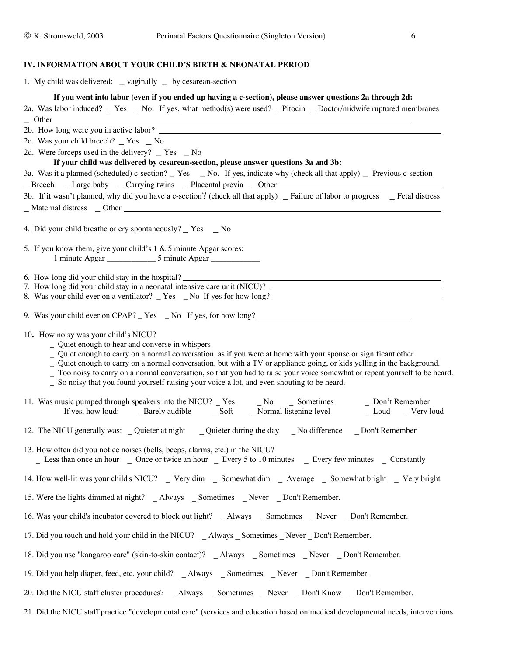#### **IV. INFORMATION ABOUT YOUR CHILD'S BIRTH & NEONATAL PERIOD**

| 1. My child was delivered: _ vaginally _ by cesarean-section                                                                                                                                                                                                  |
|---------------------------------------------------------------------------------------------------------------------------------------------------------------------------------------------------------------------------------------------------------------|
| If you went into labor (even if you ended up having a c-section), please answer questions 2a through 2d:                                                                                                                                                      |
| 2a. Was labor induced? $\text{Yes}$ No. If yes, what method(s) were used? Pitocin $\text{Dotor/midwife}$ reptured membranes                                                                                                                                   |
| - Other<br>2b. How long were you in active labor?                                                                                                                                                                                                             |
| 2c. Was your child breech? _ Yes _ No                                                                                                                                                                                                                         |
| 2d. Were forceps used in the delivery? $\Gamma$ Yes $\Gamma$ No                                                                                                                                                                                               |
| If your child was delivered by cesarean-section, please answer questions 3a and 3b:                                                                                                                                                                           |
| 3a. Was it a planned (scheduled) c-section? _ Yes _ No. If yes, indicate why (check all that apply) _ Previous c-section                                                                                                                                      |
|                                                                                                                                                                                                                                                               |
| 3b. If it wasn't planned, why did you have a c-section? (check all that apply) _ Failure of labor to progress _ Fetal distress<br>_Maternal distress _ Other _                                                                                                |
|                                                                                                                                                                                                                                                               |
| 4. Did your child breathe or cry spontaneously? _ Yes _ No                                                                                                                                                                                                    |
| 5. If you know them, give your child's $1 & 5$ minute Apgar scores:                                                                                                                                                                                           |
|                                                                                                                                                                                                                                                               |
|                                                                                                                                                                                                                                                               |
| 6. How long did your child stay in the hospital?<br>7. How long did your child stay in a neonatal intensive care unit (NICU)?                                                                                                                                 |
| 8. Was your child ever on a ventilator? Yes No If yes for how long?                                                                                                                                                                                           |
| 9. Was your child ever on CPAP? Yes _ No If yes, for how long?                                                                                                                                                                                                |
| 10. How noisy was your child's NICU?                                                                                                                                                                                                                          |
| - Quiet enough to hear and converse in whispers<br>Quiet enough to carry on a normal conversation, as if you were at home with your spouse or significant other                                                                                               |
| _ Quiet enough to carry on a normal conversation, but with a TV or appliance going, or kids yelling in the background.                                                                                                                                        |
| Too noisy to carry on a normal conversation, so that you had to raise your voice somewhat or repeat yourself to be heard.                                                                                                                                     |
| _ So noisy that you found yourself raising your voice a lot, and even shouting to be heard.                                                                                                                                                                   |
| 11. Was music pumped through speakers into the NICU? $\frac{1}{2}$ Yes $\frac{1}{2}$ No $\frac{1}{2}$ Sometimes $\frac{1}{2}$ Don't Remember If yes, how loud: $\frac{1}{2}$ Barely audible $\frac{1}{2}$ Soft $\frac{1}{2}$ Normal listening level $\frac{1$ |
| 12. The NICU generally was: _Quieter at night __Quieter during the day __No difference __Don't Remember                                                                                                                                                       |
| 13. How often did you notice noises (bells, beeps, alarms, etc.) in the NICU?                                                                                                                                                                                 |
| _ Less than once an hour _ Once or twice an hour _ Every 5 to 10 minutes _ Every few minutes _ Constantly                                                                                                                                                     |
| 14. How well-lit was your child's NICU? _ Very dim _ Somewhat dim _ Average _ Somewhat bright _ Very bright                                                                                                                                                   |
| 15. Were the lights dimmed at night? _ Always _ Sometimes _ Never _ Don't Remember.                                                                                                                                                                           |
| 16. Was your child's incubator covered to block out light? _ Always _ Sometimes _ Never _ Don't Remember.                                                                                                                                                     |
| 17. Did you touch and hold your child in the NICU? _ Always _ Sometimes _ Never _ Don't Remember.                                                                                                                                                             |
| 18. Did you use "kangaroo care" (skin-to-skin contact)? _ Always _ Sometimes _ Never _ Don't Remember.                                                                                                                                                        |
| 19. Did you help diaper, feed, etc. your child? _ Always _ Sometimes _ Never _ Don't Remember.                                                                                                                                                                |
| 20. Did the NICU staff cluster procedures? _ Always _ Sometimes _ Never _ Don't Know _ Don't Remember.                                                                                                                                                        |
| 21. Did the NICU staff practice "developmental care" (services and education based on medical developmental needs, interventions                                                                                                                              |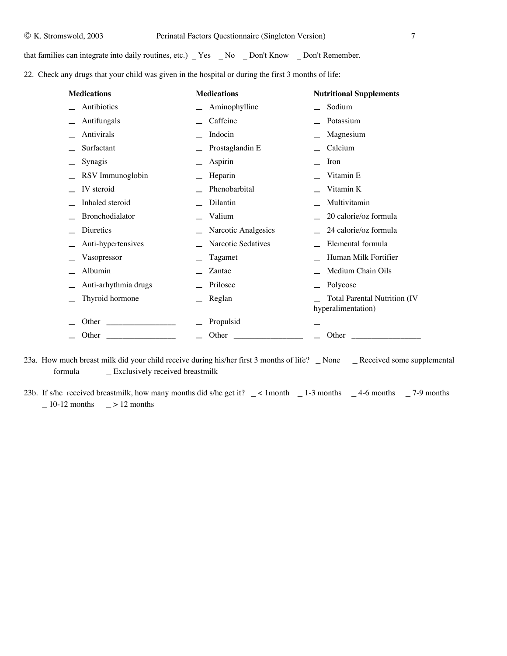that families can integrate into daily routines, etc.) \_ Yes \_ No \_ Don't Know \_ Don't Remember.

22. Check any drugs that your child was given in the hospital or during the first 3 months of life:

| <b>Medications</b>   | <b>Medications</b>  | <b>Nutritional Supplements</b>                            |
|----------------------|---------------------|-----------------------------------------------------------|
| Antibiotics          | Aminophylline       | Sodium                                                    |
| Antifungals          | Caffeine            | Potassium                                                 |
| Antivirals           | Indocin             | Magnesium                                                 |
| Surfactant           | Prostaglandin E     | Calcium                                                   |
| Synagis              | Aspirin             | Iron                                                      |
| RSV Immunoglobin     | Heparin             | Vitamin E                                                 |
| IV steroid           | Phenobarbital       | Vitamin K                                                 |
| Inhaled steroid      | Dilantin            | Multivitamin                                              |
| Bronchodialator      | Valium              | 20 calorie/oz formula                                     |
| Diuretics            | Narcotic Analgesics | 24 calorie/oz formula                                     |
| Anti-hypertensives   | Narcotic Sedatives  | Elemental formula                                         |
| Vasopressor          | Tagamet             | Human Milk Fortifier                                      |
| Albumin              | Zantac              | Medium Chain Oils                                         |
| Anti-arhythmia drugs | Prilosec            | Polycose                                                  |
| Thyroid hormone      | Reglan              | <b>Total Parental Nutrition (IV</b><br>hyperalimentation) |
| Other                | Propulsid           |                                                           |
| Other                | Other               | Other                                                     |

23a. How much breast milk did your child receive during his/her first 3 months of life? \_ None \_ Received some supplemental formula \_ Exclusively received breastmilk

23b. If s/he received breastmilk, how many months did s/he get it?  $\angle$  < 1month  $\angle$  1-3 months  $\angle$  4-6 months  $\angle$  7-9 months  $-10-12$  months  $-$  > 12 months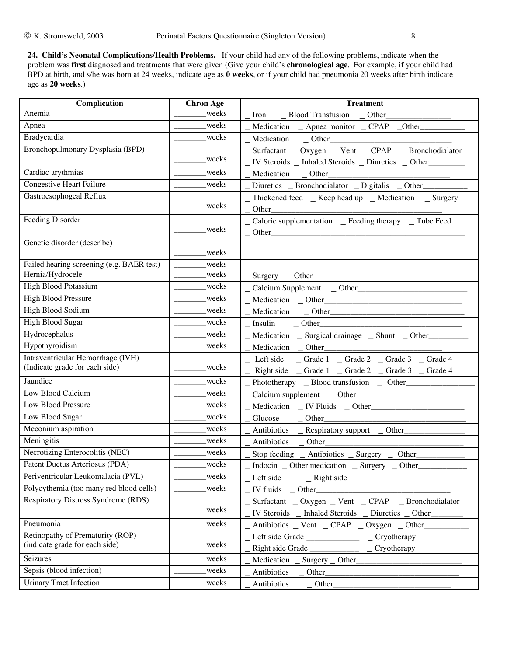**24. Child's Neonatal Complications/Health Problems.** If your child had any of the following problems, indicate when the problem was **first** diagnosed and treatments that were given (Give your child's **chronological age**. For example, if your child had BPD at birth, and s/he was born at 24 weeks, indicate age as **0 weeks**, or if your child had pneumonia 20 weeks after birth indicate age as **20 weeks**.)

| Complication                                                        | <b>Chron Age</b> | <b>Treatment</b>                                         |
|---------------------------------------------------------------------|------------------|----------------------------------------------------------|
| Anemia                                                              | weeks            | Iron __ Blood Transfusion __ Other_                      |
| Apnea                                                               | weeks            | Medication _ Apnea monitor _ CPAP _Other_                |
| Bradycardia                                                         | weeks            |                                                          |
| Bronchopulmonary Dysplasia (BPD)                                    |                  | _ Surfactant _ Oxygen _ Vent _ CPAP _ Bronchodialator    |
|                                                                     | weeks            | IV Steroids _ Inhaled Steroids _ Diuretics _ Other_      |
| Cardiac arythmias                                                   | weeks            | Medication _ Other_                                      |
| Congestive Heart Failure                                            | weeks            | Diuretics _ Bronchodialator _ Digitalis _ Other_         |
| Gastroesophogeal Reflux                                             |                  | _ Thickened feed _ Keep head up _ Medication _ Surgery   |
|                                                                     | weeks            | Other                                                    |
| Feeding Disorder                                                    |                  | _ Caloric supplementation _ Feeding therapy _ Tube Feed  |
|                                                                     | weeks            | Other_                                                   |
| Genetic disorder (describe)                                         |                  |                                                          |
|                                                                     | weeks            |                                                          |
| Failed hearing screening (e.g. BAER test)<br>Hernia/Hydrocele       | weeks<br>weeks   |                                                          |
| <b>High Blood Potassium</b>                                         |                  | Surgery _ Other                                          |
|                                                                     | weeks            | Calcium Supplement _ Other________                       |
| <b>High Blood Pressure</b>                                          | weeks            |                                                          |
| High Blood Sodium                                                   | weeks            |                                                          |
| <b>High Blood Sugar</b>                                             | weeks            | Insulin<br>$-$ Other                                     |
| Hydrocephalus                                                       | weeks            | Medication _ Surgical drainage _ Shunt _ Other           |
| Hypothyroidism                                                      | weeks            |                                                          |
| Intraventricular Hemorrhage (IVH)<br>(Indicate grade for each side) | weeks            | _ Left side _ Grade 1 _ Grade 2 _ Grade 3 _ Grade 4      |
|                                                                     |                  | Right side _ Grade 1 _ Grade 2 _ Grade 3 _ Grade 4       |
| Jaundice                                                            | weeks            | Phototherapy _ Blood transfusion _ Other                 |
| Low Blood Calcium                                                   | weeks            |                                                          |
| Low Blood Pressure                                                  | weeks            | Medication _ IV Fluids _ Other___________                |
| Low Blood Sugar                                                     | weeks            |                                                          |
| Meconium aspiration                                                 | weeks            | Antibiotics _ Respiratory support _ Other____            |
| Meningitis                                                          | weeks            | Antibiotics _ Other_                                     |
| Necrotizing Enterocolitis (NEC)                                     | weeks            | Stop feeding $\_$ Antibiotics $\_$ Surgery $\_$<br>Other |
| Patent Ductus Arteriosus (PDA)                                      | weeks            | Indocin _ Other medication _ Surgery _<br>Other          |
| Periventricular Leukomalacia (PVL)                                  | weeks            | Left side<br>$Right$ side                                |
| Polycythemia (too many red blood cells)                             | weeks            | IV fluids _<br>Other_                                    |
| Respiratory Distress Syndrome (RDS)                                 |                  | _ Surfactant _ Oxygen _ Vent _ CPAP _ Bronchodialator    |
|                                                                     | weeks            | IV Steroids _ Inhaled Steroids _ Diuretics _ Other       |
| Pneumonia                                                           | weeks            | Antibiotics _ Vent _ CPAP _<br>Oxygen Other              |
| Retinopathy of Prematurity (ROP)                                    |                  | Cryotherapy<br>Left side Grade                           |
| (indicate grade for each side)                                      | weeks            | Cryotherapy                                              |
| Seizures                                                            | weeks            |                                                          |
| Sepsis (blood infection)                                            | weeks            | Antibiotics<br>Other_                                    |
| <b>Urinary Tract Infection</b>                                      | weeks            | Antibiotics                                              |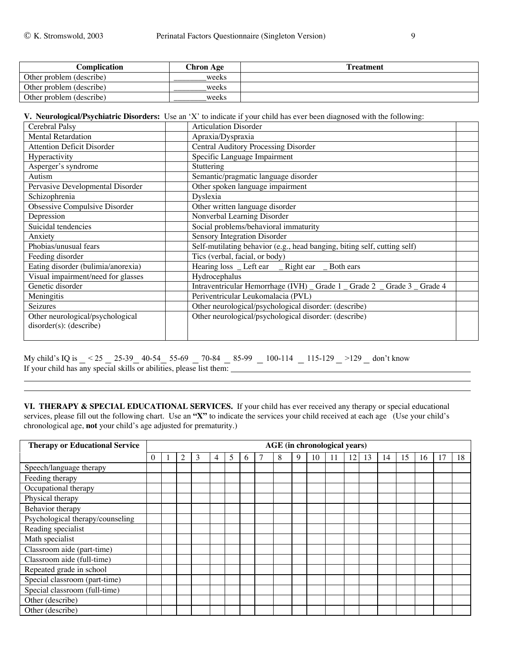| Complication             | Chron Age | <b>Treatment</b> |
|--------------------------|-----------|------------------|
| Other problem (describe) | weeks     |                  |
| Other problem (describe) | weeks     |                  |
| Other problem (describe) | weeks     |                  |

**V. Neurological/Psychiatric Disorders:** Use an 'X' to indicate if your child has ever been diagnosed with the following:

| Cerebral Palsy                                              | <b>Articulation Disorder</b>                                              |
|-------------------------------------------------------------|---------------------------------------------------------------------------|
| <b>Mental Retardation</b>                                   | Apraxia/Dyspraxia                                                         |
| <b>Attention Deficit Disorder</b>                           | Central Auditory Processing Disorder                                      |
| Hyperactivity                                               | Specific Language Impairment                                              |
| Asperger's syndrome                                         | Stuttering                                                                |
| Autism                                                      | Semantic/pragmatic language disorder                                      |
| Pervasive Developmental Disorder                            | Other spoken language impairment                                          |
| Schizophrenia                                               | Dyslexia                                                                  |
| Obsessive Compulsive Disorder                               | Other written language disorder                                           |
| Depression                                                  | Nonverbal Learning Disorder                                               |
| Suicidal tendencies                                         | Social problems/behavioral immaturity                                     |
| Anxiety                                                     | Sensory Integration Disorder                                              |
| Phobias/unusual fears                                       | Self-mutilating behavior (e.g., head banging, biting self, cutting self)  |
| Feeding disorder                                            | Tics (verbal, facial, or body)                                            |
| Eating disorder (bulimia/anorexia)                          | Hearing loss _ Left ear _ Right ear _ Both ears                           |
| Visual impairment/need for glasses                          | Hydrocephalus                                                             |
| Genetic disorder                                            | Intraventricular Hemorrhage (IVH) _ Grade 1 _ Grade 2 _ Grade 3 _ Grade 4 |
| Meningitis                                                  | Periventricular Leukomalacia (PVL)                                        |
| <b>Seizures</b>                                             | Other neurological/psychological disorder: (describe)                     |
| Other neurological/psychological<br>disorder(s): (describe) | Other neurological/psychological disorder: (describe)                     |

My child's IQ is \_ < 25 \_ 25-39\_ 40-54\_ 55-69 \_ 70-84 \_ 85-99 \_ 100-114 \_ 115-129 \_ >129 \_ don't know If your child has any special skills or abilities, please list them:

**VI. THERAPY & SPECIAL EDUCATIONAL SERVICES.** If your child has ever received any therapy or special educational services, please fill out the following chart. Use an **"X"** to indicate the services your child received at each age (Use your child's chronological age, **not** your child's age adjusted for prematurity.)

| <b>Therapy or Educational Service</b> |          | <b>AGE</b> (in chronological years) |   |   |   |   |              |  |   |   |    |    |    |    |    |    |    |    |    |
|---------------------------------------|----------|-------------------------------------|---|---|---|---|--------------|--|---|---|----|----|----|----|----|----|----|----|----|
|                                       | $\Omega$ |                                     | 2 | 3 | 4 | 5 | <sub>6</sub> |  | 8 | 9 | 10 | ۱1 | 12 | 13 | 14 | 15 | 16 | 17 | 18 |
| Speech/language therapy               |          |                                     |   |   |   |   |              |  |   |   |    |    |    |    |    |    |    |    |    |
| Feeding therapy                       |          |                                     |   |   |   |   |              |  |   |   |    |    |    |    |    |    |    |    |    |
| Occupational therapy                  |          |                                     |   |   |   |   |              |  |   |   |    |    |    |    |    |    |    |    |    |
| Physical therapy                      |          |                                     |   |   |   |   |              |  |   |   |    |    |    |    |    |    |    |    |    |
| Behavior therapy                      |          |                                     |   |   |   |   |              |  |   |   |    |    |    |    |    |    |    |    |    |
| Psychological therapy/counseling      |          |                                     |   |   |   |   |              |  |   |   |    |    |    |    |    |    |    |    |    |
| Reading specialist                    |          |                                     |   |   |   |   |              |  |   |   |    |    |    |    |    |    |    |    |    |
| Math specialist                       |          |                                     |   |   |   |   |              |  |   |   |    |    |    |    |    |    |    |    |    |
| Classroom aide (part-time)            |          |                                     |   |   |   |   |              |  |   |   |    |    |    |    |    |    |    |    |    |
| Classroom aide (full-time)            |          |                                     |   |   |   |   |              |  |   |   |    |    |    |    |    |    |    |    |    |
| Repeated grade in school              |          |                                     |   |   |   |   |              |  |   |   |    |    |    |    |    |    |    |    |    |
| Special classroom (part-time)         |          |                                     |   |   |   |   |              |  |   |   |    |    |    |    |    |    |    |    |    |
| Special classroom (full-time)         |          |                                     |   |   |   |   |              |  |   |   |    |    |    |    |    |    |    |    |    |
| Other (describe)                      |          |                                     |   |   |   |   |              |  |   |   |    |    |    |    |    |    |    |    |    |
| Other (describe)                      |          |                                     |   |   |   |   |              |  |   |   |    |    |    |    |    |    |    |    |    |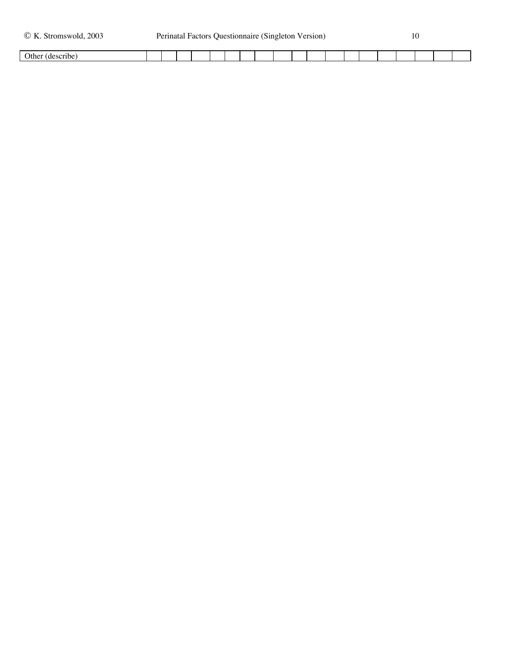| Dtŀ. |  |  |  |  |  |  |  |  |  |  |
|------|--|--|--|--|--|--|--|--|--|--|
|      |  |  |  |  |  |  |  |  |  |  |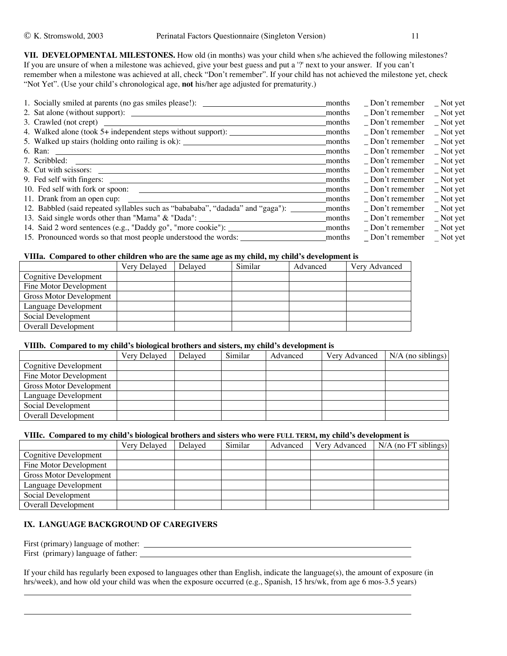**VII. DEVELOPMENTAL MILESTONES.** How old (in months) was your child when s/he achieved the following milestones? If you are unsure of when a milestone was achieved, give your best guess and put a '?' next to your answer. If you can't remember when a milestone was achieved at all, check "Don't remember". If your child has not achieved the milestone yet, check "Not Yet". (Use your child's chronological age, **not** his/her age adjusted for prematurity.)

| months | Don't remember        | $\_$ Not yet       |
|--------|-----------------------|--------------------|
| months | $\Box$ Don't remember | $\_$ Not yet       |
| months | $\Box$ Don't remember | $\_$ Not yet       |
| months | $\Box$ Don't remember | $\_$ Not yet       |
| months | $\Box$ Don't remember | $\_$ Not yet       |
| months | Don't remember        | $\_$ Not yet       |
| months | $\Box$ Don't remember | $\_$ Not yet       |
| months | $\Box$ Don't remember | $\_$ Not yet       |
| months | $\Box$ Don't remember | $\_$ Not yet       |
| months | Don't remember        | $\_$ Not yet       |
| months | Don't remember        | $\sqrt{ }$ Not yet |
| months | Don't remember        | $\_$ Not yet       |
| months | $\Box$ Don't remember | $\Gamma$ Not yet   |
| months | Don't remember        | $\_$ Not yet       |
| months |                       | Not yet            |
|        |                       | Don't remember     |

#### **VIIIa. Compared to other children who are the same age as my child, my child's development is**

|                                | Very Delayed | Delaved | Similar | Advanced | Very Advanced |
|--------------------------------|--------------|---------|---------|----------|---------------|
| Cognitive Development          |              |         |         |          |               |
| Fine Motor Development         |              |         |         |          |               |
| <b>Gross Motor Development</b> |              |         |         |          |               |
| Language Development           |              |         |         |          |               |
| Social Development             |              |         |         |          |               |
| Overall Development            |              |         |         |          |               |
|                                |              |         |         |          |               |

#### **VIIIb. Compared to my child's biological brothers and sisters, my child's development is**

|                            | Very Delayed | Delaved | Similar | Advanced | Very Advanced | $N/A$ (no siblings) |
|----------------------------|--------------|---------|---------|----------|---------------|---------------------|
| Cognitive Development      |              |         |         |          |               |                     |
| Fine Motor Development     |              |         |         |          |               |                     |
| Gross Motor Development    |              |         |         |          |               |                     |
| Language Development       |              |         |         |          |               |                     |
| Social Development         |              |         |         |          |               |                     |
| <b>Overall Development</b> |              |         |         |          |               |                     |

### **VIIIc. Compared to my child's biological brothers and sisters who were FULL TERM, my child's development is**

|                         | Very Delayed | Delaved | Similar | Advanced | Very Advanced | $N/A$ (no FT siblings) |
|-------------------------|--------------|---------|---------|----------|---------------|------------------------|
| Cognitive Development   |              |         |         |          |               |                        |
| Fine Motor Development  |              |         |         |          |               |                        |
| Gross Motor Development |              |         |         |          |               |                        |
| Language Development    |              |         |         |          |               |                        |
| Social Development      |              |         |         |          |               |                        |
| Overall Development     |              |         |         |          |               |                        |

# **IX. LANGUAGE BACKGROUND OF CAREGIVERS**

First (primary) language of mother:

First (primary) language of father:

If your child has regularly been exposed to languages other than English, indicate the language(s), the amount of exposure (in hrs/week), and how old your child was when the exposure occurred (e.g., Spanish, 15 hrs/wk, from age 6 mos-3.5 years)